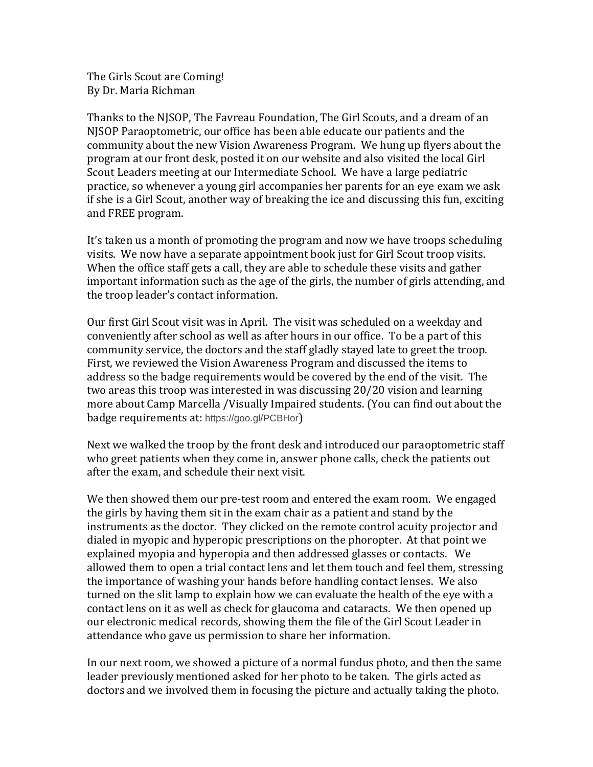The Girls Scout are Coming! By Dr. Maria Richman

Thanks to the NJSOP, The Favreau Foundation, The Girl Scouts, and a dream of an NJSOP Paraoptometric, our office has been able educate our patients and the community about the new Vision Awareness Program. We hung up flyers about the program at our front desk, posted it on our website and also visited the local Girl Scout Leaders meeting at our Intermediate School. We have a large pediatric practice, so whenever a young girl accompanies her parents for an eye exam we ask if she is a Girl Scout, another way of breaking the ice and discussing this fun, exciting and FREE program.

It's taken us a month of promoting the program and now we have troops scheduling visits. We now have a separate appointment book just for Girl Scout troop visits. When the office staff gets a call, they are able to schedule these visits and gather important information such as the age of the girls, the number of girls attending, and the troop leader's contact information.

Our first Girl Scout visit was in April. The visit was scheduled on a weekday and conveniently after school as well as after hours in our office. To be a part of this community service, the doctors and the staff gladly stayed late to greet the troop. First, we reviewed the Vision Awareness Program and discussed the items to address so the badge requirements would be covered by the end of the visit. The two areas this troop was interested in was discussing 20/20 vision and learning more about Camp Marcella /Visually Impaired students. (You can find out about the badge requirements at: https://goo.gl/PCBHor)

Next we walked the troop by the front desk and introduced our paraoptometric staff who greet patients when they come in, answer phone calls, check the patients out after the exam, and schedule their next visit.

We then showed them our pre-test room and entered the exam room. We engaged the girls by having them sit in the exam chair as a patient and stand by the instruments as the doctor. They clicked on the remote control acuity projector and dialed in myopic and hyperopic prescriptions on the phoropter. At that point we explained myopia and hyperopia and then addressed glasses or contacts. We allowed them to open a trial contact lens and let them touch and feel them, stressing the importance of washing your hands before handling contact lenses. We also turned on the slit lamp to explain how we can evaluate the health of the eye with a contact lens on it as well as check for glaucoma and cataracts. We then opened up our electronic medical records, showing them the file of the Girl Scout Leader in attendance who gave us permission to share her information.

In our next room, we showed a picture of a normal fundus photo, and then the same leader previously mentioned asked for her photo to be taken. The girls acted as doctors and we involved them in focusing the picture and actually taking the photo.